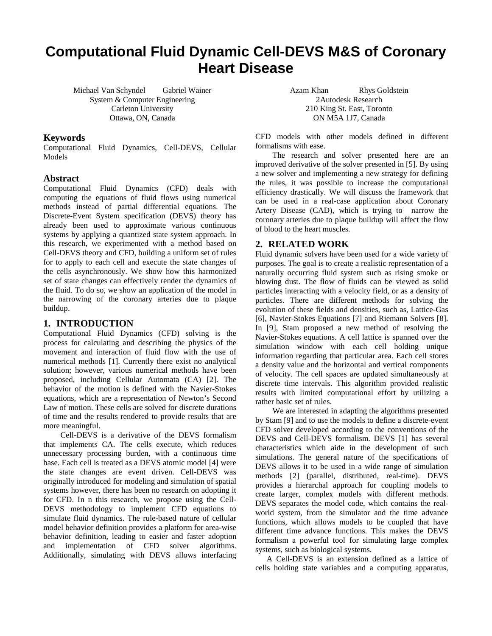# **Computational Fluid Dynamic Cell-DEVS M&S of Coronary Heart Disease**

Michael Van Schyndel Gabriel Wainer System & Computer Engineering Carleton University Ottawa, ON, Canada

### **Keywords**

Computational Fluid Dynamics, Cell-DEVS, Cellular Models

## **Abstract**

Computational Fluid Dynamics (CFD) deals with computing the equations of fluid flows using numerical methods instead of partial differential equations. The Discrete-Event System specification (DEVS) theory has already been used to approximate various continuous systems by applying a quantized state system approach. In this research, we experimented with a method based on Cell-DEVS theory and CFD, building a uniform set of rules for to apply to each cell and execute the state changes of the cells asynchronously. We show how this harmonized set of state changes can effectively render the dynamics of the fluid. To do so, we show an application of the model in the narrowing of the coronary arteries due to plaque buildup.

# **1. INTRODUCTION**

Computational Fluid Dynamics (CFD) solving is the process for calculating and describing the physics of the movement and interaction of fluid flow with the use of numerical methods [1]. Currently there exist no analytical solution; however, various numerical methods have been proposed, including Cellular Automata (CA) [2]. The behavior of the motion is defined with the Navier-Stokes equations, which are a representation of Newton's Second Law of motion. These cells are solved for discrete durations of time and the results rendered to provide results that are more meaningful.

 Cell-DEVS is a derivative of the DEVS formalism that implements CA. The cells execute, which reduces unnecessary processing burden, with a continuous time base. Each cell is treated as a DEVS atomic model [4] were the state changes are event driven. Cell-DEVS was originally introduced for modeling and simulation of spatial systems however, there has been no research on adopting it for CFD. In n this research, we propose using the Cell-DEVS methodology to implement CFD equations to simulate fluid dynamics. The rule-based nature of cellular model behavior definition provides a platform for area-wise behavior definition, leading to easier and faster adoption and implementation of CFD solver algorithms. Additionally, simulating with DEVS allows interfacing

Azam Khan Rhys Goldstein 2Autodesk Research 210 King St. East, Toronto ON M5A 1J7, Canada

CFD models with other models defined in different formalisms with ease.

The research and solver presented here are an improved derivative of the solver presented in [5]. By using a new solver and implementing a new strategy for defining the rules, it was possible to increase the computational efficiency drastically. We will discuss the framework that can be used in a real-case application about Coronary Artery Disease (CAD), which is trying to narrow the coronary arteries due to plaque buildup will affect the flow of blood to the heart muscles.

# **2. RELATED WORK**

Fluid dynamic solvers have been used for a wide variety of purposes. The goal is to create a realistic representation of a naturally occurring fluid system such as rising smoke or blowing dust. The flow of fluids can be viewed as solid particles interacting with a velocity field, or as a density of particles. There are different methods for solving the evolution of these fields and densities, such as, Lattice-Gas [6], Navier-Stokes Equations [7] and Riemann Solvers [8]. In [9], Stam proposed a new method of resolving the Navier-Stokes equations. A cell lattice is spanned over the simulation window with each cell holding unique information regarding that particular area. Each cell stores a density value and the horizontal and vertical components of velocity. The cell spaces are updated simultaneously at discrete time intervals. This algorithm provided realistic results with limited computational effort by utilizing a rather basic set of rules.

 We are interested in adapting the algorithms presented by Stam [9] and to use the models to define a discrete-event CFD solver developed according to the conventions of the DEVS and Cell-DEVS formalism. DEVS [1] has several characteristics which aide in the development of such simulations. The general nature of the specifications of DEVS allows it to be used in a wide range of simulation methods [2] (parallel, distributed, real-time). DEVS provides a hierarchal approach for coupling models to create larger, complex models with different methods. DEVS separates the model code, which contains the realworld system, from the simulator and the time advance functions, which allows models to be coupled that have different time advance functions. This makes the DEVS formalism a powerful tool for simulating large complex systems, such as biological systems.

A Cell-DEVS is an extension defined as a lattice of cells holding state variables and a computing apparatus,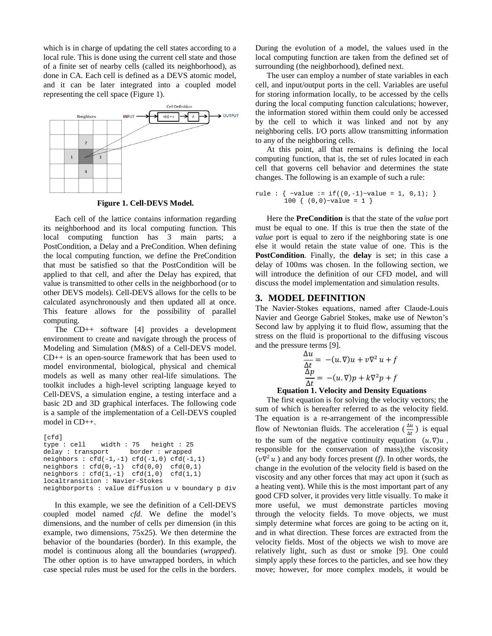which is in charge of updating the cell states according to a local rule. This is done using the current cell state and those of a finite set of nearby cells (called its neighborhood), as done in CA. Each cell is defined as a DEVS atomic model, and it can be later integrated into a coupled model representing the cell space (Figure 1).



**Figure 1. Cell-DEVS Model.** 

Each cell of the lattice contains information regarding its neighborhood and its local computing function. This local computing function has 3 main parts; a PostCondition, a Delay and a PreCondition. When defining the local computing function, we define the PreCondition that must be satisfied so that the PostCondition will be applied to that cell, and after the Delay has expired, that value is transmitted to other cells in the neighborhood (or to other DEVS models). Cell-DEVS allows for the cells to be calculated asynchronously and then updated all at once. This feature allows for the possibility of parallel computing.

The CD++ software [4] provides a development environment to create and navigate through the process of Modeling and Simulation (M&S) of a Cell-DEVS model. CD++ is an open-source framework that has been used to model environmental, biological, physical and chemical models as well as many other real-life simulations. The toolkit includes a high-level scripting language keyed to Cell-DEVS, a simulation engine, a testing interface and a basic 2D and 3D graphical interfaces. The following code is a sample of the implementation of a Cell-DEVS coupled model in CD++.

```
[cfd] 
type : cell width : 75 height : 25<br>delay : transport border : wrapped
delay : transportneighbours : cfd(-1,-1) cfd(-1,0) cfd(-1,1)neighbors : cfd(0,-1) cfd(0,0) cfd(0,1)neighbors : cfd(1,-1) cfd(1,0) cfd(1,1)localtransition : Navier-Stokes 
neighborports : value diffusion u v boundary p div
```
In this example, we see the definition of a Cell-DEVS coupled model named *cfd*. We define the model's dimensions, and the number of cells per dimension (in this example, two dimensions, 75x25). We then determine the behavior of the boundaries (border). In this example, the model is continuous along all the boundaries (*wrapped*). The other option is to have unwrapped borders, in which case special rules must be used for the cells in the borders. During the evolution of a model, the values used in the local computing function are taken from the defined set of surrounding (the neighborhood), defined next.

The user can employ a number of state variables in each cell, and input/output ports in the cell. Variables are useful for storing information locally, to be accessed by the cells during the local computing function calculations; however, the information stored within them could only be accessed by the cell to which it was linked and not by any neighboring cells. I/O ports allow transmitting information to any of the neighboring cells.

At this point, all that remains is defining the local computing function, that is, the set of rules located in each cell that governs cell behavior and determines the state changes. The following is an example of such a rule:

```
rule : { \simvalue := if((0,-1)\simvalue = 1, 0,1); }
         100 \{ (0,0) \sim \text{value} = 1 \}
```
Here the **PreCondition** is that the state of the *value* port must be equal to one. If this is true then the state of the *value* port is equal to zero if the neighboring state is one else it would retain the state value of one. This is the **PostCondition**. Finally, the **delay** is set; in this case a delay of 100ms was chosen. In the following section, we will introduce the definition of our CFD model, and will discuss the model implementation and simulation results.

# **3. MODEL DEFINITION**

The Navier-Stokes equations, named after Claude-Louis Navier and George Gabriel Stokes, make use of Newton's Second law by applying it to fluid flow, assuming that the stress on the fluid is proportional to the diffusing viscous and the pressure terms [9].

$$
\frac{\Delta u}{\Delta t} = -(u.\nabla)u + v\nabla^2 u + f
$$

$$
\frac{\Delta p}{\Delta t} = -(u.\nabla)p + k\nabla^2 p + f
$$

#### **Equation 1. Velocity and Density Equations**

The first equation is for solving the velocity vectors; the sum of which is hereafter referred to as the velocity field. The equation is a re-arrangement of the incompressible flow of Newtonian fluids. The acceleration ( $\frac{\Delta u}{\Delta t}$ ) is equal to the sum of the negative continuity equation  $(u.\nabla)u$ , responsible for the conservation of mass),the viscosity  $(\nu \nabla^2 u)$  and any body forces present (*f*). In other words, the change in the evolution of the velocity field is based on the viscosity and any other forces that may act upon it (such as a heating vent). While this is the most important part of any good CFD solver, it provides very little visually. To make it more useful, we must demonstrate particles moving through the velocity fields. To move objects, we must simply determine what forces are going to be acting on it, and in what direction. These forces are extracted from the velocity fields. Most of the objects we wish to move are relatively light, such as dust or smoke [9]. One could simply apply these forces to the particles, and see how they move; however, for more complex models, it would be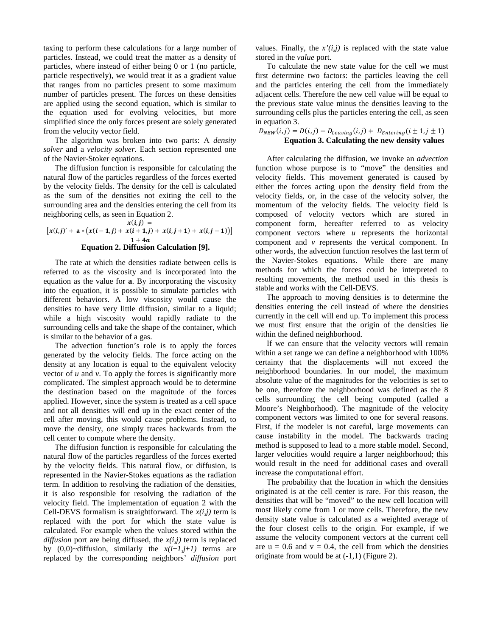taxing to perform these calculations for a large number of particles. Instead, we could treat the matter as a density of particles, where instead of either being 0 or 1 (no particle, particle respectively), we would treat it as a gradient value that ranges from no particles present to some maximum number of particles present. The forces on these densities are applied using the second equation, which is similar to the equation used for evolving velocities, but more simplified since the only forces present are solely generated from the velocity vector field.

The algorithm was broken into two parts: A *density solver* and a *velocity solver*. Each section represented one of the Navier-Stoker equations.

The diffusion function is responsible for calculating the natural flow of the particles regardless of the forces exerted by the velocity fields. The density for the cell is calculated as the sum of the densities not exiting the cell to the surrounding area and the densities entering the cell from its neighboring cells, as seen in Equation 2.

 $x(i, j) =$  $\left[ x(i,j)'+a*(x(i-1,j)+x(i+1,j)+x(i,j+1)+x(i,j-1))\right]$  $1 + 4a$ **Equation 2. Diffusion Calculation [9].** 

The rate at which the densities radiate between cells is referred to as the viscosity and is incorporated into the equation as the value for **a**. By incorporating the viscosity into the equation, it is possible to simulate particles with different behaviors. A low viscosity would cause the densities to have very little diffusion, similar to a liquid; while a high viscosity would rapidly radiate to the surrounding cells and take the shape of the container, which is similar to the behavior of a gas.

The advection function's role is to apply the forces generated by the velocity fields. The force acting on the density at any location is equal to the equivalent velocity vector of  $u$  and  $v$ . To apply the forces is significantly more complicated. The simplest approach would be to determine the destination based on the magnitude of the forces applied. However, since the system is treated as a cell space and not all densities will end up in the exact center of the cell after moving, this would cause problems. Instead, to move the density, one simply traces backwards from the cell center to compute where the density.

The diffusion function is responsible for calculating the natural flow of the particles regardless of the forces exerted by the velocity fields. This natural flow, or diffusion, is represented in the Navier-Stokes equations as the radiation term. In addition to resolving the radiation of the densities, it is also responsible for resolving the radiation of the velocity field. The implementation of equation 2 with the Cell-DEVS formalism is straightforward. The  $x(i,j)$  term is replaced with the port for which the state value is calculated. For example when the values stored within the *diffusion* port are being diffused, the *x(i,j)* term is replaced by  $(0,0)$ ~diffusion, similarly the  $x(i\pm 1, j\pm 1)$  terms are replaced by the corresponding neighbors' *diffusion* port

values. Finally, the  $x'(i,j)$  is replaced with the state value stored in the *value* port.

To calculate the new state value for the cell we must first determine two factors: the particles leaving the cell and the particles entering the cell from the immediately adjacent cells. Therefore the new cell value will be equal to the previous state value minus the densities leaving to the surrounding cells plus the particles entering the cell, as seen in equation 3.

#### $D_{NEW}(i, j) = D(i, j) - D_{Leaving}(i, j) + D_{Entering}(i \pm 1, j \pm 1)$ **Equation 3. Calculating the new density values**

After calculating the diffusion, we invoke an *advection* function whose purpose is to "move" the densities and velocity fields. This movement generated is caused by either the forces acting upon the density field from the velocity fields, or, in the case of the velocity solver, the momentum of the velocity fields. The velocity field is composed of velocity vectors which are stored in component form, hereafter referred to as velocity component vectors where *u* represents the horizontal component and *v* represents the vertical component. In other words, the advection function resolves the last term of the Navier-Stokes equations. While there are many methods for which the forces could be interpreted to resulting movements, the method used in this thesis is stable and works with the Cell-DEVS.

The approach to moving densities is to determine the densities entering the cell instead of where the densities currently in the cell will end up. To implement this process we must first ensure that the origin of the densities lie within the defined neighborhood.

If we can ensure that the velocity vectors will remain within a set range we can define a neighborhood with 100% certainty that the displacements will not exceed the neighborhood boundaries. In our model, the maximum absolute value of the magnitudes for the velocities is set to be one, therefore the neighborhood was defined as the 8 cells surrounding the cell being computed (called a Moore's Neighborhood). The magnitude of the velocity component vectors was limited to one for several reasons. First, if the modeler is not careful, large movements can cause instability in the model. The backwards tracing method is supposed to lead to a more stable model. Second, larger velocities would require a larger neighborhood; this would result in the need for additional cases and overall increase the computational effort.

The probability that the location in which the densities originated is at the cell center is rare. For this reason, the densities that will be "moved" to the new cell location will most likely come from 1 or more cells. Therefore, the new density state value is calculated as a weighted average of the four closest cells to the origin. For example, if we assume the velocity component vectors at the current cell are  $u = 0.6$  and  $v = 0.4$ , the cell from which the densities originate from would be at (-1,1) (Figure 2).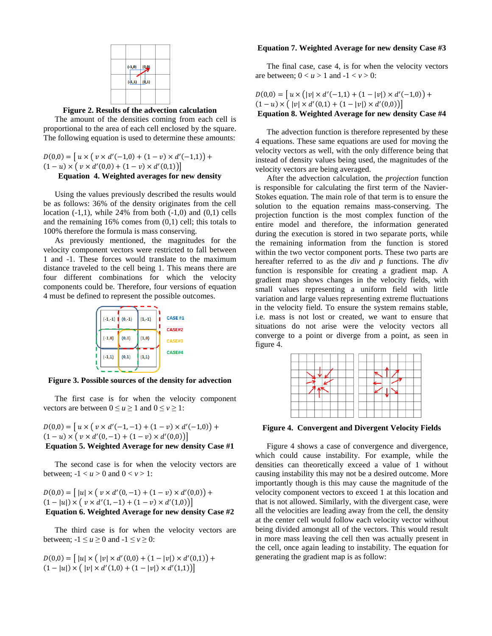

**Figure 2. Results of the advection calculation** 

The amount of the densities coming from each cell is proportional to the area of each cell enclosed by the square. The following equation is used to determine these amounts:

 $D(0,0) = [u \times (v \times d'(-1,0) + (1-v) \times d'(-1,1))]$  $(1-u) \times (v \times d'(0,0) + (1-v) \times d'(0,1))$ 

# **Equation 4. Weighted averages for new density**

Using the values previously described the results would be as follows: 36% of the density originates from the cell location  $(-1,1)$ , while 24% from both  $(-1,0)$  and  $(0,1)$  cells and the remaining  $16\%$  comes from  $(0,1)$  cell; this totals to 100% therefore the formula is mass conserving.

As previously mentioned, the magnitudes for the velocity component vectors were restricted to fall between 1 and -1. These forces would translate to the maximum distance traveled to the cell being 1. This means there are four different combinations for which the velocity components could be. Therefore, four versions of equation 4 must be defined to represent the possible outcomes.



**Figure 3. Possible sources of the density for advection** 

The first case is for when the velocity component vectors are between  $0 \le u \ge 1$  and  $0 \le v \ge 1$ :

$$
D(0,0) = [u \times (v \times d'(-1,-1) + (1-v) \times d'(-1,0)) + (1-u) \times (v \times d'(0,-1) + (1-v) \times d'(0,0))]
$$
  
Equation 5. Weighted Average for new density Case #1

The second case is for when the velocity vectors are between;  $-1 < u > 0$  and  $0 < v > 1$ :

 $D(0,0) = [ |u| \times ( v \times d'(0,-1) + (1-v) \times d'(0,0) ) +$  $(1-|u|) \times (v \times d'(1,-1) + (1-v) \times d'(1,0))$ **Equation 6. Weighted Average for new density Case #2** 

The third case is for when the velocity vectors are between;  $-1 \le u \ge 0$  and  $-1 \le v \ge 0$ :

$$
D(0,0) = [ |u| \times ( |v| \times d'(0,0) + (1 - |v|) \times d'(0,1) ) + (1 - |u|) \times ( |v| \times d'(1,0) + (1 - |v|) \times d'(1,1) ) ]
$$

#### **Equation 7. Weighted Average for new density Case #3**

The final case, case 4, is for when the velocity vectors are between;  $0 < u > 1$  and  $-1 < v > 0$ :

 $D(0,0) = [u \times (|v| \times d'(-1,1) + (1-|v|) \times d'(-1,0))]$  $(1-u) \times ( |v| \times d'(0,1) + (1-|v|) \times d'(0,0) )$ **Equation 8. Weighted Average for new density Case #4** 

The advection function is therefore represented by these 4 equations. These same equations are used for moving the velocity vectors as well, with the only difference being that instead of density values being used, the magnitudes of the velocity vectors are being averaged.

After the advection calculation, the *projection* function is responsible for calculating the first term of the Navier-Stokes equation. The main role of that term is to ensure the solution to the equation remains mass-conserving. The projection function is the most complex function of the entire model and therefore, the information generated during the execution is stored in two separate ports, while the remaining information from the function is stored within the two vector component ports. These two parts are hereafter referred to as the *div* and *p* functions. The *div* function is responsible for creating a gradient map. A gradient map shows changes in the velocity fields, with small values representing a uniform field with little variation and large values representing extreme fluctuations in the velocity field. To ensure the system remains stable, i.e. mass is not lost or created, we want to ensure that situations do not arise were the velocity vectors all converge to a point or diverge from a point, as seen in figure 4.



**Figure 4. Convergent and Divergent Velocity Fields** 

Figure 4 shows a case of convergence and divergence, which could cause instability. For example, while the densities can theoretically exceed a value of 1 without causing instability this may not be a desired outcome. More importantly though is this may cause the magnitude of the velocity component vectors to exceed 1 at this location and that is not allowed. Similarly, with the divergent case, were all the velocities are leading away from the cell, the density at the center cell would follow each velocity vector without being divided amongst all of the vectors. This would result in more mass leaving the cell then was actually present in the cell, once again leading to instability. The equation for generating the gradient map is as follow: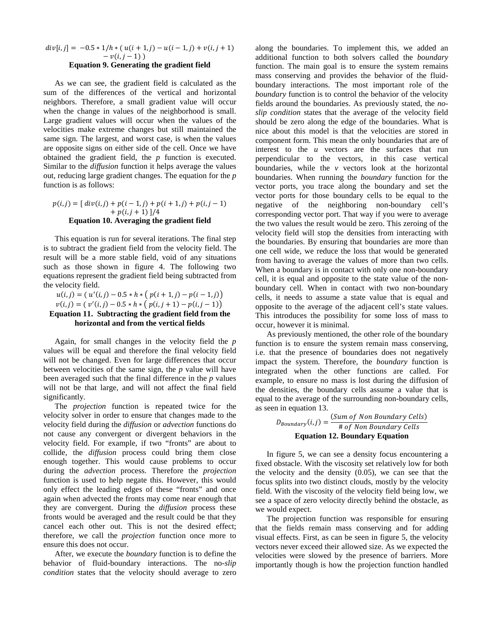$$
div[i,j] = -0.5 * 1/h * (u(i+1,j) - u(i-1,j) + v(i,j+1) - v(i,j-1))
$$
  
For the equation of equations the sum that find

#### **Equation 9. Generating the gradient field**

As we can see, the gradient field is calculated as the sum of the differences of the vertical and horizontal neighbors. Therefore, a small gradient value will occur when the change in values of the neighborhood is small. Large gradient values will occur when the values of the velocities make extreme changes but still maintained the same sign. The largest, and worst case, is when the values are opposite signs on either side of the cell. Once we have obtained the gradient field, the *p* function is executed. Similar to the *diffusion* function it helps average the values out, reducing large gradient changes. The equation for the *p* function is as follows:

#### $p(i, j) = [div(i, j) + p(i - 1, j) + p(i + 1, j) + p(i, j - 1)]$  $+ p(i, j + 1)$ ]/4 **Equation 10. Averaging the gradient field**

This equation is run for several iterations. The final step is to subtract the gradient field from the velocity field. The result will be a more stable field, void of any situations such as those shown in figure 4. The following two equations represent the gradient field being subtracted from the velocity field.

 $u(i,j) = (u'(i,j) - 0.5 * h * (p(i+1,j) - p(i-1,j)))$  $v(i, j) = (v'(i, j) - 0.5 * h * (p(i, j + 1) - p(i, j - 1))$ 

### **Equation 11. Subtracting the gradient field from the horizontal and from the vertical fields**

Again, for small changes in the velocity field the *p* values will be equal and therefore the final velocity field will not be changed. Even for large differences that occur between velocities of the same sign, the *p* value will have been averaged such that the final difference in the *p* values will not be that large, and will not affect the final field significantly.

The *projection* function is repeated twice for the velocity solver in order to ensure that changes made to the velocity field during the *diffusion* or *advection* functions do not cause any convergent or divergent behaviors in the velocity field. For example, if two "fronts" are about to collide, the *diffusion* process could bring them close enough together. This would cause problems to occur during the *advection* process. Therefore the *projection* function is used to help negate this. However, this would only effect the leading edges of these "fronts" and once again when advected the fronts may come near enough that they are convergent. During the *diffusion* process these fronts would be averaged and the result could be that they cancel each other out. This is not the desired effect; therefore, we call the *projection* function once more to ensure this does not occur.

After, we execute the *boundary* function is to define the behavior of fluid-boundary interactions. The no*-slip condition* states that the velocity should average to zero along the boundaries. To implement this, we added an additional function to both solvers called the *boundary*  function. The main goal is to ensure the system remains mass conserving and provides the behavior of the fluidboundary interactions. The most important role of the *boundary* function is to control the behavior of the velocity fields around the boundaries. As previously stated, the *noslip condition* states that the average of the velocity field should be zero along the edge of the boundaries. What is nice about this model is that the velocities are stored in component form. This mean the only boundaries that are of interest to the *u* vectors are the surfaces that run perpendicular to the vectors, in this case vertical boundaries, while the *v* vectors look at the horizontal boundaries. When running the *boundary* function for the vector ports, you trace along the boundary and set the vector ports for those boundary cells to be equal to the negative of the neighboring non-boundary cell's corresponding vector port. That way if you were to average the two values the result would be zero. This zeroing of the velocity field will stop the densities from interacting with the boundaries. By ensuring that boundaries are more than one cell wide, we reduce the loss that would be generated from having to average the values of more than two cells. When a boundary is in contact with only one non-boundary cell, it is equal and opposite to the state value of the nonboundary cell. When in contact with two non-boundary cells, it needs to assume a state value that is equal and opposite to the average of the adjacent cell's state values. This introduces the possibility for some loss of mass to occur, however it is minimal.

As previously mentioned, the other role of the boundary function is to ensure the system remain mass conserving, i.e. that the presence of boundaries does not negatively impact the system. Therefore, the *boundary* function is integrated when the other functions are called. For example, to ensure no mass is lost during the diffusion of the densities, the boundary cells assume a value that is equal to the average of the surrounding non-boundary cells, as seen in equation 13.

 $D_{Boundary}(i, j) = \frac{(Sum\ of\ Non\ Boundary\ Cells)}{\# \ of\ Non\ Boundary\ Cells}$ **Equation 12. Boundary Equation** 

In figure 5, we can see a density focus encountering a fixed obstacle. With the viscosity set relatively low for both the velocity and the density (0.05), we can see that the focus splits into two distinct clouds, mostly by the velocity field. With the viscosity of the velocity field being low, we see a space of zero velocity directly behind the obstacle, as we would expect.

The projection function was responsible for ensuring that the fields remain mass conserving and for adding visual effects. First, as can be seen in figure 5, the velocity vectors never exceed their allowed size. As we expected the velocities were slowed by the presence of barriers. More importantly though is how the projection function handled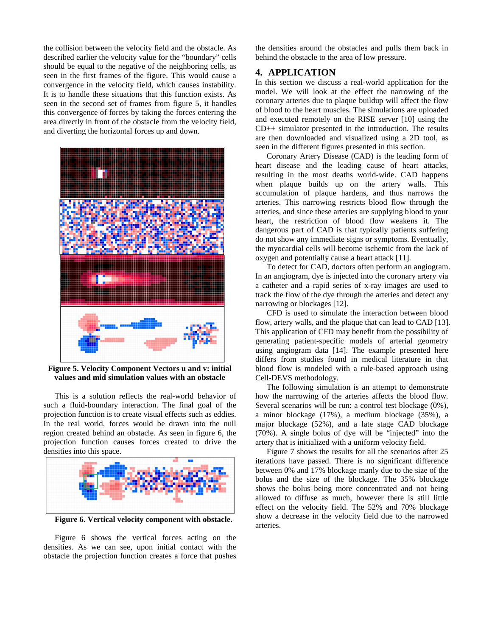the collision between the velocity field and the obstacle. As described earlier the velocity value for the "boundary" cells should be equal to the negative of the neighboring cells, as seen in the first frames of the figure. This would cause a convergence in the velocity field, which causes instability. It is to handle these situations that this function exists. As seen in the second set of frames from figure 5, it handles this convergence of forces by taking the forces entering the area directly in front of the obstacle from the velocity field, and diverting the horizontal forces up and down.



**Figure 5. Velocity Component Vectors u and v: initial values and mid simulation values with an obstacle** 

This is a solution reflects the real-world behavior of such a fluid-boundary interaction. The final goal of the projection function is to create visual effects such as eddies. In the real world, forces would be drawn into the null region created behind an obstacle. As seen in figure 6, the projection function causes forces created to drive the densities into this space.



**Figure 6. Vertical velocity component with obstacle.** 

Figure 6 shows the vertical forces acting on the densities. As we can see, upon initial contact with the obstacle the projection function creates a force that pushes the densities around the obstacles and pulls them back in behind the obstacle to the area of low pressure.

# **4. APPLICATION**

In this section we discuss a real-world application for the model. We will look at the effect the narrowing of the coronary arteries due to plaque buildup will affect the flow of blood to the heart muscles. The simulations are uploaded and executed remotely on the RISE server [10] using the CD++ simulator presented in the introduction. The results are then downloaded and visualized using a 2D tool, as seen in the different figures presented in this section.

Coronary Artery Disease (CAD) is the leading form of heart disease and the leading cause of heart attacks, resulting in the most deaths world-wide. CAD happens when plaque builds up on the artery walls. This accumulation of plaque hardens, and thus narrows the arteries. This narrowing restricts blood flow through the arteries, and since these arteries are supplying blood to your heart, the restriction of blood flow weakens it. The dangerous part of CAD is that typically patients suffering do not show any immediate signs or symptoms. Eventually, the myocardial cells will become ischemic from the lack of oxygen and potentially cause a heart attack [11].

To detect for CAD, doctors often perform an angiogram. In an angiogram, dye is injected into the coronary artery via a catheter and a rapid series of x-ray images are used to track the flow of the dye through the arteries and detect any narrowing or blockages [12].

CFD is used to simulate the interaction between blood flow, artery walls, and the plaque that can lead to CAD [13]. This application of CFD may benefit from the possibility of generating patient-specific models of arterial geometry using angiogram data [14]. The example presented here differs from studies found in medical literature in that blood flow is modeled with a rule-based approach using Cell-DEVS methodology.

The following simulation is an attempt to demonstrate how the narrowing of the arteries affects the blood flow. Several scenarios will be run: a control test blockage (0%), a minor blockage (17%), a medium blockage (35%), a major blockage (52%), and a late stage CAD blockage (70%). A single bolus of dye will be "injected" into the artery that is initialized with a uniform velocity field.

Figure 7 shows the results for all the scenarios after 25 iterations have passed. There is no significant difference between 0% and 17% blockage manly due to the size of the bolus and the size of the blockage. The 35% blockage shows the bolus being more concentrated and not being allowed to diffuse as much, however there is still little effect on the velocity field. The 52% and 70% blockage show a decrease in the velocity field due to the narrowed arteries.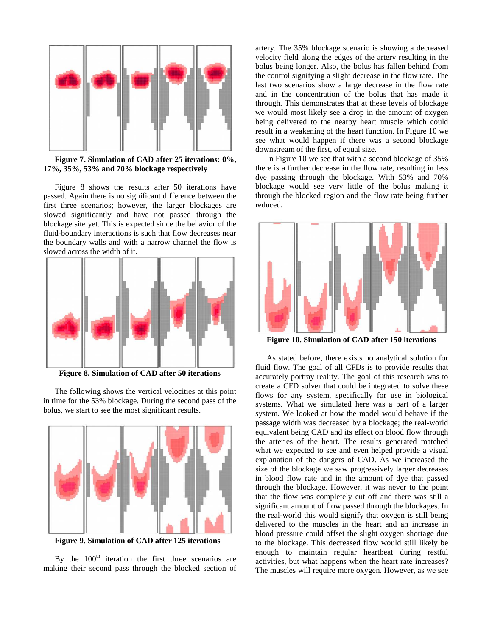

**Figure 7. Simulation of CAD after 25 iterations: 0%, 17%, 35%, 53% and 70% blockage respectively** 

Figure 8 shows the results after 50 iterations have passed. Again there is no significant difference between the first three scenarios; however, the larger blockages are slowed significantly and have not passed through the blockage site yet. This is expected since the behavior of the fluid-boundary interactions is such that flow decreases near the boundary walls and with a narrow channel the flow is slowed across the width of it.



**Figure 8. Simulation of CAD after 50 iterations**

The following shows the vertical velocities at this point in time for the 53% blockage. During the second pass of the bolus, we start to see the most significant results.



**Figure 9. Simulation of CAD after 125 iterations** 

By the  $100<sup>th</sup>$  iteration the first three scenarios are making their second pass through the blocked section of artery. The 35% blockage scenario is showing a decreased velocity field along the edges of the artery resulting in the bolus being longer. Also, the bolus has fallen behind from the control signifying a slight decrease in the flow rate. The last two scenarios show a large decrease in the flow rate and in the concentration of the bolus that has made it through. This demonstrates that at these levels of blockage we would most likely see a drop in the amount of oxygen being delivered to the nearby heart muscle which could result in a weakening of the heart function. In Figure 10 we see what would happen if there was a second blockage downstream of the first, of equal size.

In Figure 10 we see that with a second blockage of 35% there is a further decrease in the flow rate, resulting in less dye passing through the blockage. With 53% and 70% blockage would see very little of the bolus making it through the blocked region and the flow rate being further reduced.



**Figure 10. Simulation of CAD after 150 iterations** 

As stated before, there exists no analytical solution for fluid flow. The goal of all CFDs is to provide results that accurately portray reality. The goal of this research was to create a CFD solver that could be integrated to solve these flows for any system, specifically for use in biological systems. What we simulated here was a part of a larger system. We looked at how the model would behave if the passage width was decreased by a blockage; the real-world equivalent being CAD and its effect on blood flow through the arteries of the heart. The results generated matched what we expected to see and even helped provide a visual explanation of the dangers of CAD. As we increased the size of the blockage we saw progressively larger decreases in blood flow rate and in the amount of dye that passed through the blockage. However, it was never to the point that the flow was completely cut off and there was still a significant amount of flow passed through the blockages. In the real-world this would signify that oxygen is still being delivered to the muscles in the heart and an increase in blood pressure could offset the slight oxygen shortage due to the blockage. This decreased flow would still likely be enough to maintain regular heartbeat during restful activities, but what happens when the heart rate increases? The muscles will require more oxygen. However, as we see